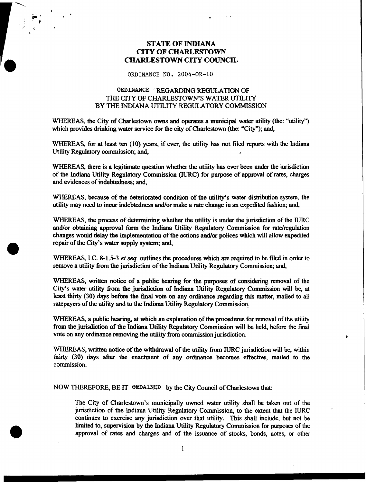## **STATE OF INDIANA CITY OF CHARLESTOWN CHARLESTOWN CITY COUNCIL**

## **ORDINANCE NO.** 2004-OR-10

## **ORDINANCE REGARDING REGULATION** OF THE CITY OF **CHARLESTOWN'S WATER** *UTILITY*  **BY** THE **INDIANA** UTlLITY **REGULATORY** COMMISSION

**WHEREAS,** the City **of** Charlestown owns and **operates** a municipal water utility (the: "utility") which provides drinking water service for the city of Charlestown (the: "City"); and,

**WHEREAS,** for at least **ten (10)** years, if ever, the utility has not filed reports with the lndiana Utility Regulatory commission; and,

**WHEREAS,** there is a legitimate question whether the utility has ever been under the jurisdiction of the Indiana Utility Regulatory Commission (IURC) for purpose of approval of rates, charges and evidences of indebtedness; and,

**WHEREAS,** because of the deteriorated condition of the utility's water distribution system, the utility may need to incur indebtedness **and/or** make a rate change in **an** expedited fashion; and,

**WHEREAS,** the **process of** determining whether the utility is under the jurisdiction of the **IURC and/or** obtaining approval form the Indiana Utility Regulatory Commission for rate/regulation changes would delay the implementation of the actions *and/or* polices which will allow expedited repair of the City's water supply **system; and,** 

**WHEREAS,** I.C. **8-1.5-3** et *seq.* outlines the procedures which **are** required to be filed in order to remove a utility **from** the jurisdiction of the Indiana Utility Regulatory Commission; **and,** 

**a** 

**WHEREAS,** written notice **of** a public hearing for the purposes of considering removal of the City's water utility **from** the jurisdiction of Indiana Utility Regulatory Commission will be, *at*  least thirty (30) days **before the** final vote on any **ordinance** regarding this matter, mailed to all ratepayers of the utility and to the Indiana Utility Regulatory Commission.

**WHEREAS,** a public hearing, at which **an** explanation of the procedures for removal of the utility from the jurisdiction of the Indiana Utility Regulatory Commission will be held, before the final vote **on** any ordinance removing the utility from commission jurisdiction. *<sup>0</sup>*

**WHEREAS,** written notice **of** the withdrawal of the utility **from** IURC jurisdiction will be, within thirty (30) days after the enactment of any ordinance becomes effective, mailed to **the**  commission.

**NOW THEREFORE,** BE IT **ORDAINED** by the City Council of Charlestown that:

The City of Charlestown's municipally **owned** water utility shall be taken out of the jurisdiction of the Indiana Utility Regulatory Commission, to **the** extent that the **IURC**  continues to exercise any jurisdiction over that utility. This shall include, but not be limited to, supervision by the Indiana Utility Regulatory Commission for purposes of the approval of rates and charges and of the issuance of **stocks,** bonds, notes, or other